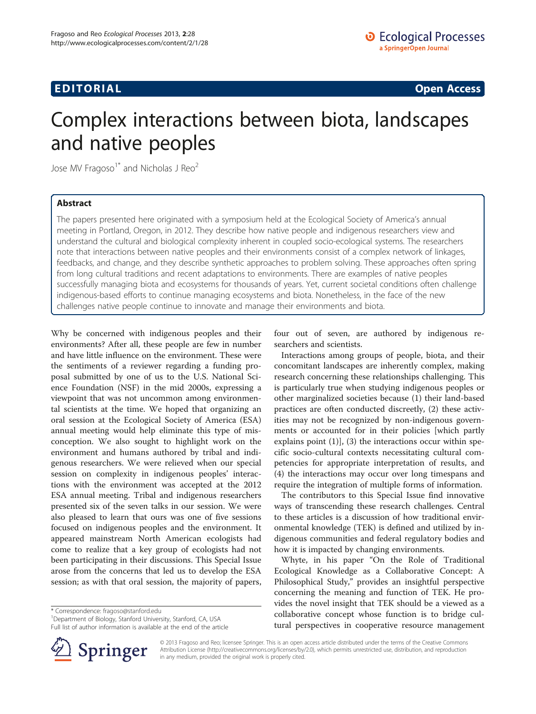# **EDITORIAL** CONTROL CONTROL CONTROL CONTROL CONTROL CONTROL CONTROL CONTROL CONTROL CONTROL CONTROL CONTROL CONTROL CONTROL CONTROL CONTROL CONTROL CONTROL CONTROL CONTROL CONTROL CONTROL CONTROL CONTROL CONTROL CONTROL CO

# Complex interactions between biota, landscapes and native peoples

Jose MV Fragoso<sup>1\*</sup> and Nicholas J Reo<sup>2</sup>

### Abstract

The papers presented here originated with a symposium held at the Ecological Society of America's annual meeting in Portland, Oregon, in 2012. They describe how native people and indigenous researchers view and understand the cultural and biological complexity inherent in coupled socio-ecological systems. The researchers note that interactions between native peoples and their environments consist of a complex network of linkages, feedbacks, and change, and they describe synthetic approaches to problem solving. These approaches often spring from long cultural traditions and recent adaptations to environments. There are examples of native peoples successfully managing biota and ecosystems for thousands of years. Yet, current societal conditions often challenge indigenous-based efforts to continue managing ecosystems and biota. Nonetheless, in the face of the new challenges native people continue to innovate and manage their environments and biota.

Why be concerned with indigenous peoples and their environments? After all, these people are few in number and have little influence on the environment. These were the sentiments of a reviewer regarding a funding proposal submitted by one of us to the U.S. National Science Foundation (NSF) in the mid 2000s, expressing a viewpoint that was not uncommon among environmental scientists at the time. We hoped that organizing an oral session at the Ecological Society of America (ESA) annual meeting would help eliminate this type of misconception. We also sought to highlight work on the environment and humans authored by tribal and indigenous researchers. We were relieved when our special session on complexity in indigenous peoples' interactions with the environment was accepted at the 2012 ESA annual meeting. Tribal and indigenous researchers presented six of the seven talks in our session. We were also pleased to learn that ours was one of five sessions focused on indigenous peoples and the environment. It appeared mainstream North American ecologists had come to realize that a key group of ecologists had not been participating in their discussions. This Special Issue arose from the concerns that led us to develop the ESA session; as with that oral session, the majority of papers,

\* Correspondence: [fragoso@stanford.edu](mailto:fragoso@stanford.edu) <sup>1</sup>

Department of Biology, Stanford University, Stanford, CA, USA Full list of author information is available at the end of the article



Interactions among groups of people, biota, and their concomitant landscapes are inherently complex, making research concerning these relationships challenging. This is particularly true when studying indigenous peoples or other marginalized societies because (1) their land-based practices are often conducted discreetly, (2) these activities may not be recognized by non-indigenous governments or accounted for in their policies [which partly explains point  $(1)$ ,  $(3)$  the interactions occur within specific socio-cultural contexts necessitating cultural competencies for appropriate interpretation of results, and (4) the interactions may occur over long timespans and require the integration of multiple forms of information.

The contributors to this Special Issue find innovative ways of transcending these research challenges. Central to these articles is a discussion of how traditional environmental knowledge (TEK) is defined and utilized by indigenous communities and federal regulatory bodies and how it is impacted by changing environments.

Whyte, in his paper "On the Role of Traditional Ecological Knowledge as a Collaborative Concept: A Philosophical Study," provides an insightful perspective concerning the meaning and function of TEK. He provides the novel insight that TEK should be a viewed as a collaborative concept whose function is to bridge cultural perspectives in cooperative resource management



© 2013 Fragoso and Reo; licensee Springer. This is an open access article distributed under the terms of the Creative Commons Attribution License [\(http://creativecommons.org/licenses/by/2.0\)](http://creativecommons.org/licenses/by/2.0), which permits unrestricted use, distribution, and reproduction in any medium, provided the original work is properly cited.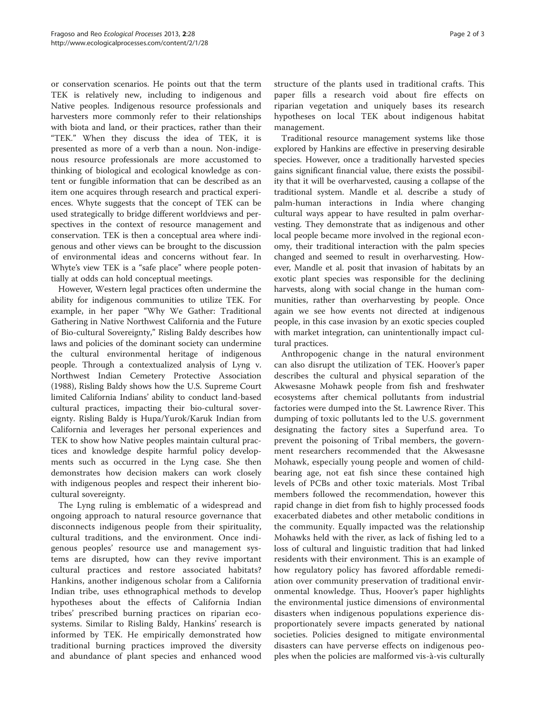or conservation scenarios. He points out that the term TEK is relatively new, including to indigenous and Native peoples. Indigenous resource professionals and harvesters more commonly refer to their relationships with biota and land, or their practices, rather than their "TEK." When they discuss the idea of TEK, it is presented as more of a verb than a noun. Non-indigenous resource professionals are more accustomed to thinking of biological and ecological knowledge as content or fungible information that can be described as an item one acquires through research and practical experiences. Whyte suggests that the concept of TEK can be used strategically to bridge different worldviews and perspectives in the context of resource management and conservation. TEK is then a conceptual area where indigenous and other views can be brought to the discussion of environmental ideas and concerns without fear. In Whyte's view TEK is a "safe place" where people potentially at odds can hold conceptual meetings.

However, Western legal practices often undermine the ability for indigenous communities to utilize TEK. For example, in her paper "Why We Gather: Traditional Gathering in Native Northwest California and the Future of Bio-cultural Sovereignty," Risling Baldy describes how laws and policies of the dominant society can undermine the cultural environmental heritage of indigenous people. Through a contextualized analysis of Lyng v. Northwest Indian Cemetery Protective Association (1988), Risling Baldy shows how the U.S. Supreme Court limited California Indians' ability to conduct land-based cultural practices, impacting their bio-cultural sovereignty. Risling Baldy is Hupa/Yurok/Karuk Indian from California and leverages her personal experiences and TEK to show how Native peoples maintain cultural practices and knowledge despite harmful policy developments such as occurred in the Lyng case. She then demonstrates how decision makers can work closely with indigenous peoples and respect their inherent biocultural sovereignty.

The Lyng ruling is emblematic of a widespread and ongoing approach to natural resource governance that disconnects indigenous people from their spirituality, cultural traditions, and the environment. Once indigenous peoples' resource use and management systems are disrupted, how can they revive important cultural practices and restore associated habitats? Hankins, another indigenous scholar from a California Indian tribe, uses ethnographical methods to develop hypotheses about the effects of California Indian tribes' prescribed burning practices on riparian ecosystems. Similar to Risling Baldy, Hankins' research is informed by TEK. He empirically demonstrated how traditional burning practices improved the diversity and abundance of plant species and enhanced wood structure of the plants used in traditional crafts. This paper fills a research void about fire effects on riparian vegetation and uniquely bases its research hypotheses on local TEK about indigenous habitat management.

Traditional resource management systems like those explored by Hankins are effective in preserving desirable species. However, once a traditionally harvested species gains significant financial value, there exists the possibility that it will be overharvested, causing a collapse of the traditional system. Mandle et al. describe a study of palm-human interactions in India where changing cultural ways appear to have resulted in palm overharvesting. They demonstrate that as indigenous and other local people became more involved in the regional economy, their traditional interaction with the palm species changed and seemed to result in overharvesting. However, Mandle et al. posit that invasion of habitats by an exotic plant species was responsible for the declining harvests, along with social change in the human communities, rather than overharvesting by people. Once again we see how events not directed at indigenous people, in this case invasion by an exotic species coupled with market integration, can unintentionally impact cultural practices.

Anthropogenic change in the natural environment can also disrupt the utilization of TEK. Hoover's paper describes the cultural and physical separation of the Akwesasne Mohawk people from fish and freshwater ecosystems after chemical pollutants from industrial factories were dumped into the St. Lawrence River. This dumping of toxic pollutants led to the U.S. government designating the factory sites a Superfund area. To prevent the poisoning of Tribal members, the government researchers recommended that the Akwesasne Mohawk, especially young people and women of childbearing age, not eat fish since these contained high levels of PCBs and other toxic materials. Most Tribal members followed the recommendation, however this rapid change in diet from fish to highly processed foods exacerbated diabetes and other metabolic conditions in the community. Equally impacted was the relationship Mohawks held with the river, as lack of fishing led to a loss of cultural and linguistic tradition that had linked residents with their environment. This is an example of how regulatory policy has favored affordable remediation over community preservation of traditional environmental knowledge. Thus, Hoover's paper highlights the environmental justice dimensions of environmental disasters when indigenous populations experience disproportionately severe impacts generated by national societies. Policies designed to mitigate environmental disasters can have perverse effects on indigenous peoples when the policies are malformed vis-à-vis culturally